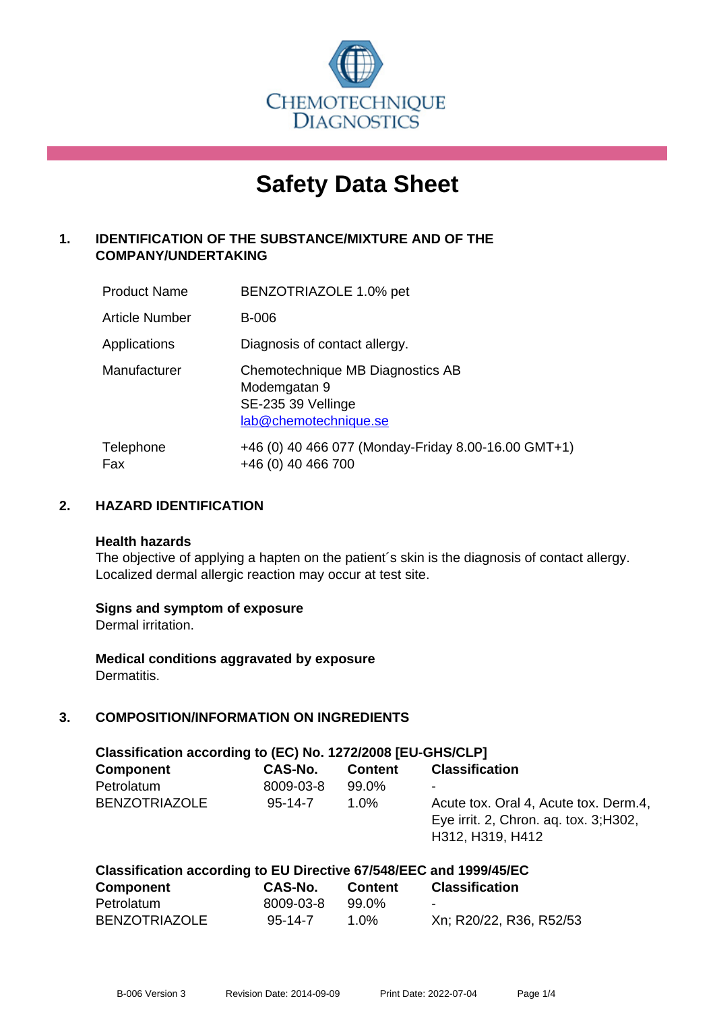

# **Safety Data Sheet**

# **1. IDENTIFICATION OF THE SUBSTANCE/MIXTURE AND OF THE COMPANY/UNDERTAKING**

| <b>Product Name</b>   | BENZOTRIAZOLE 1.0% pet                                                                          |
|-----------------------|-------------------------------------------------------------------------------------------------|
| <b>Article Number</b> | B-006                                                                                           |
| Applications          | Diagnosis of contact allergy.                                                                   |
| Manufacturer          | Chemotechnique MB Diagnostics AB<br>Modemgatan 9<br>SE-235 39 Vellinge<br>lab@chemotechnique.se |
| Telephone<br>Fax      | +46 (0) 40 466 077 (Monday-Friday 8.00-16.00 GMT+1)<br>+46 (0) 40 466 700                       |

# **2. HAZARD IDENTIFICATION**

#### **Health hazards**

The objective of applying a hapten on the patient's skin is the diagnosis of contact allergy. Localized dermal allergic reaction may occur at test site.

#### **Signs and symptom of exposure**

Dermal irritation.

**Medical conditions aggravated by exposure** Dermatitis.

# **3. COMPOSITION/INFORMATION ON INGREDIENTS**

| Classification according to (EC) No. 1272/2008 [EU-GHS/CLP] |               |                |                                                                                                     |  |  |
|-------------------------------------------------------------|---------------|----------------|-----------------------------------------------------------------------------------------------------|--|--|
| <b>Component</b>                                            | CAS-No.       | <b>Content</b> | <b>Classification</b>                                                                               |  |  |
| Petrolatum                                                  | 8009-03-8     | 99.0%          | ۰                                                                                                   |  |  |
| <b>BENZOTRIAZOLE</b>                                        | $95 - 14 - 7$ | $1.0\%$        | Acute tox. Oral 4, Acute tox. Derm.4,<br>Eye irrit. 2, Chron. ag. tox. 3; H302,<br>H312, H319, H412 |  |  |

| Classification according to EU Directive 67/548/EEC and 1999/45/EC |               |                |                         |  |  |
|--------------------------------------------------------------------|---------------|----------------|-------------------------|--|--|
| <b>Component</b>                                                   | CAS-No.       | <b>Content</b> | <b>Classification</b>   |  |  |
| Petrolatum                                                         | 8009-03-8     | 99.0%          |                         |  |  |
| <b>BENZOTRIAZOLE</b>                                               | $95 - 14 - 7$ | 1 በ%           | Xn; R20/22, R36, R52/53 |  |  |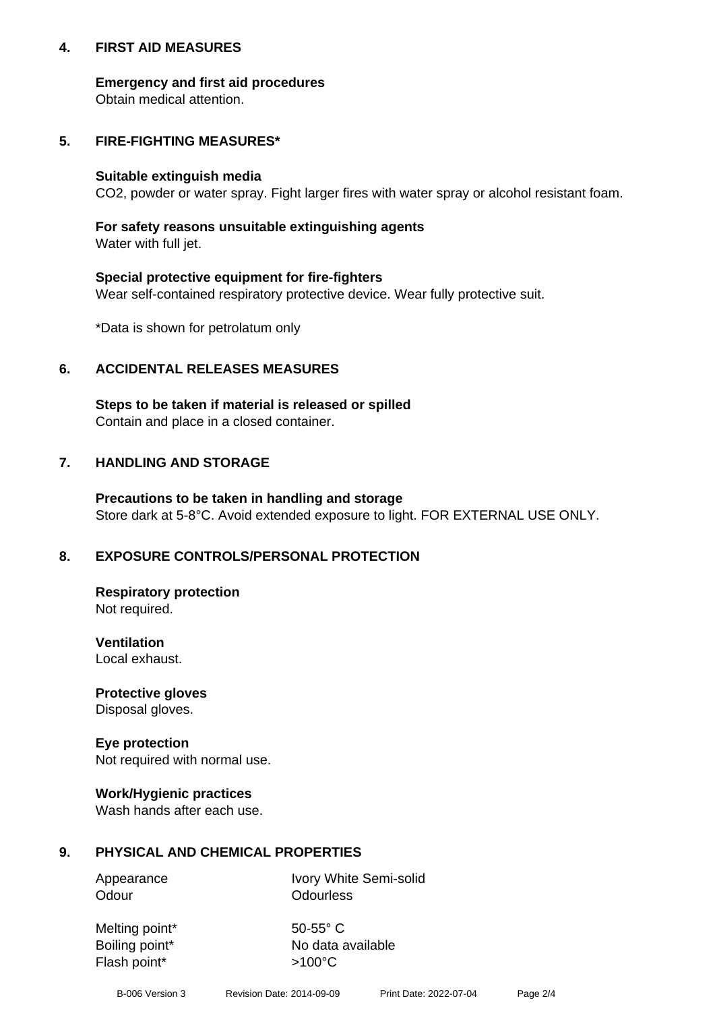## **4. FIRST AID MEASURES**

## **Emergency and first aid procedures**

Obtain medical attention.

# **5. FIRE-FIGHTING MEASURES\***

#### **Suitable extinguish media**

CO2, powder or water spray. Fight larger fires with water spray or alcohol resistant foam.

# **For safety reasons unsuitable extinguishing agents**

Water with full jet.

## **Special protective equipment for fire-fighters**

Wear self-contained respiratory protective device. Wear fully protective suit.

\*Data is shown for petrolatum only

# **6. ACCIDENTAL RELEASES MEASURES**

**Steps to be taken if material is released or spilled** Contain and place in a closed container.

# **7. HANDLING AND STORAGE**

**Precautions to be taken in handling and storage** Store dark at 5-8°C. Avoid extended exposure to light. FOR EXTERNAL USE ONLY.

# **8. EXPOSURE CONTROLS/PERSONAL PROTECTION**

**Respiratory protection** Not required.

**Ventilation** Local exhaust.

**Protective gloves** Disposal gloves.

#### **Eye protection** Not required with normal use.

## **Work/Hygienic practices**

Wash hands after each use.

## **9. PHYSICAL AND CHEMICAL PROPERTIES**

Odour **Odourless** 

Appearance Ivory White Semi-solid

Melting point\* 50-55° C Flash point\*  $>100^{\circ}$ C

Boiling point\* No data available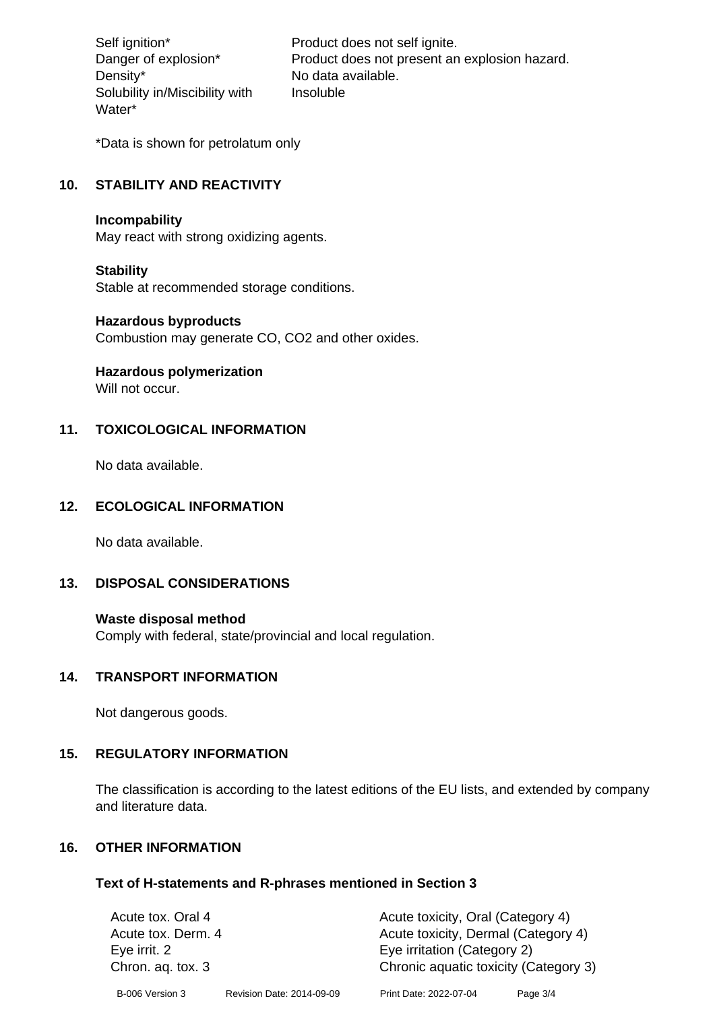Density\* No data available. Solubility in/Miscibility with Water\*

Self ignition\* Product does not self ignite. Danger of explosion\* Product does not present an explosion hazard. Insoluble

\*Data is shown for petrolatum only

# **10. STABILITY AND REACTIVITY**

#### **Incompability**

May react with strong oxidizing agents.

#### **Stability**

Stable at recommended storage conditions.

#### **Hazardous byproducts**

Combustion may generate CO, CO2 and other oxides.

**Hazardous polymerization**

Will not occur.

## **11. TOXICOLOGICAL INFORMATION**

No data available.

#### **12. ECOLOGICAL INFORMATION**

No data available.

## **13. DISPOSAL CONSIDERATIONS**

#### **Waste disposal method**

Comply with federal, state/provincial and local regulation.

#### **14. TRANSPORT INFORMATION**

Not dangerous goods.

## **15. REGULATORY INFORMATION**

The classification is according to the latest editions of the EU lists, and extended by company and literature data.

#### **16. OTHER INFORMATION**

#### **Text of H-statements and R-phrases mentioned in Section 3**

| Acute tox. Oral 4  |                           | Acute toxicity, Oral (Category 4)     |          |  |
|--------------------|---------------------------|---------------------------------------|----------|--|
| Acute tox. Derm. 4 |                           | Acute toxicity, Dermal (Category 4)   |          |  |
| Eye irrit. 2       |                           | Eye irritation (Category 2)           |          |  |
| Chron. ag. tox. 3  |                           | Chronic aquatic toxicity (Category 3) |          |  |
| B-006 Version 3    | Revision Date: 2014-09-09 | Print Date: 2022-07-04                | Page 3/4 |  |